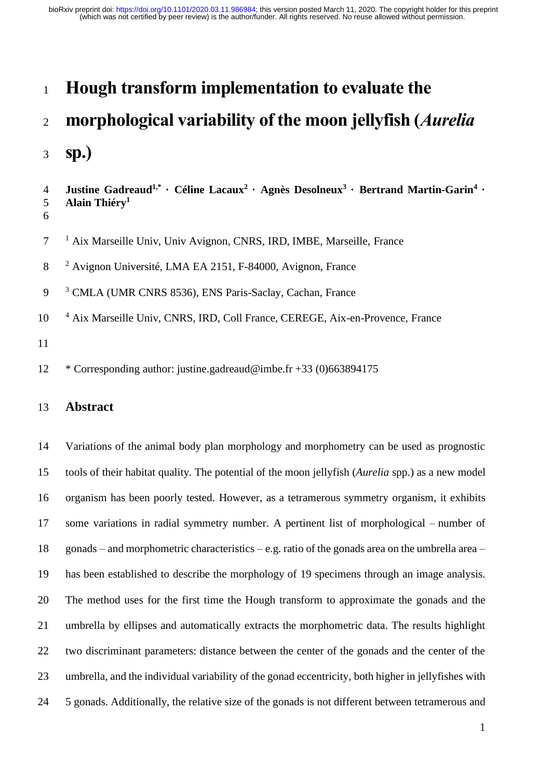## **Hough transform implementation to evaluate the**

# **morphological variability of the moon jellyfish (***Aurelia*

**sp.)**

```
Justine Gadreaud1,*
· Céline Lacaux2
· Agnès Desolneux3
· Bertrand Martin-Garin4
4 ·
    Alain Thiéry1
5
6
```
7<sup>1</sup> Aix Marseille Univ, Univ Avignon, CNRS, IRD, IMBE, Marseille, France

- 8 <sup>2</sup> Avignon Université, LMA EA 2151, F-84000, Avignon, France
- 9<sup>3</sup> CMLA (UMR CNRS 8536), ENS Paris-Saclay, Cachan, France
- 10 <sup>4</sup> Aix Marseille Univ, CNRS, IRD, Coll France, CEREGE, Aix-en-Provence, France

\* Corresponding author: justine.gadreaud@imbe.fr +33 (0)663894175

## **Abstract**

 Variations of the animal body plan morphology and morphometry can be used as prognostic tools of their habitat quality. The potential of the moon jellyfish (*Aurelia* spp.) as a new model organism has been poorly tested. However, as a tetramerous symmetry organism, it exhibits some variations in radial symmetry number. A pertinent list of morphological – number of gonads – and morphometric characteristics – e.g. ratio of the gonads area on the umbrella area – has been established to describe the morphology of 19 specimens through an image analysis. The method uses for the first time the Hough transform to approximate the gonads and the umbrella by ellipses and automatically extracts the morphometric data. The results highlight two discriminant parameters: distance between the center of the gonads and the center of the umbrella, and the individual variability of the gonad eccentricity, both higher in jellyfishes with 5 gonads. Additionally, the relative size of the gonads is not different between tetramerous and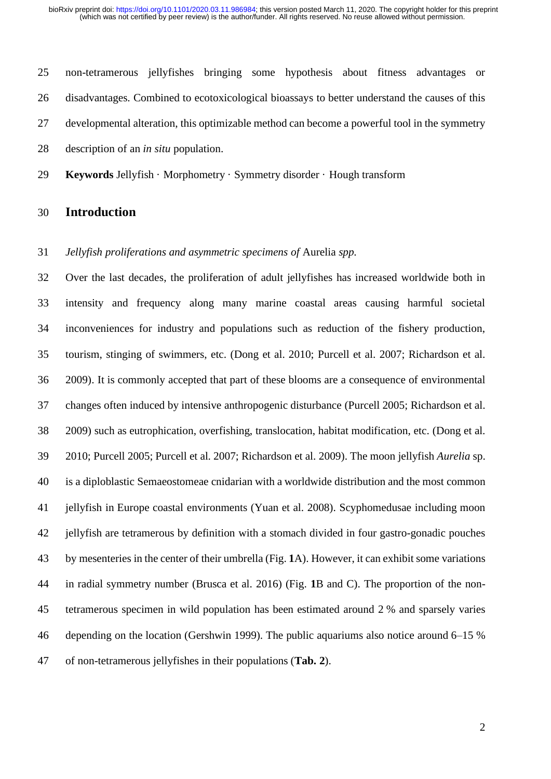non-tetramerous jellyfishes bringing some hypothesis about fitness advantages or disadvantages. Combined to ecotoxicological bioassays to better understand the causes of this developmental alteration, this optimizable method can become a powerful tool in the symmetry description of an *in situ* population.

**Keywords** Jellyfish · Morphometry · Symmetry disorder · Hough transform

## **Introduction**

## *Jellyfish proliferations and asymmetric specimens of* Aurelia *spp.*

 Over the last decades, the proliferation of adult jellyfishes has increased worldwide both in intensity and frequency along many marine coastal areas causing harmful societal inconveniences for industry and populations such as reduction of the fishery production, tourism, stinging of swimmers, etc. (Dong et al. 2010; Purcell et al. 2007; Richardson et al. 2009). It is commonly accepted that part of these blooms are a consequence of environmental changes often induced by intensive anthropogenic disturbance (Purcell 2005; Richardson et al. 2009) such as eutrophication, overfishing, translocation, habitat modification, etc. (Dong et al. 2010; Purcell 2005; Purcell et al. 2007; Richardson et al. 2009). The moon jellyfish *Aurelia* sp. is a diploblastic Semaeostomeae cnidarian with a worldwide distribution and the most common jellyfish in Europe coastal environments (Yuan et al. 2008). Scyphomedusae including moon jellyfish are tetramerous by definition with a stomach divided in four gastro-gonadic pouches by mesenteries in the center of their umbrella [\(Fig.](#page-2-0) **1**A). However, it can exhibit some variations in radial symmetry number (Brusca et al. 2016) [\(Fig.](#page-2-0) **1**B and C). The proportion of the non- tetramerous specimen in wild population has been estimated around 2 % and sparsely varies depending on the location (Gershwin 1999). The public aquariums also notice around 6–15 % of non-tetramerous jellyfishes in their populations (**[Tab.](#page-7-0) 2**).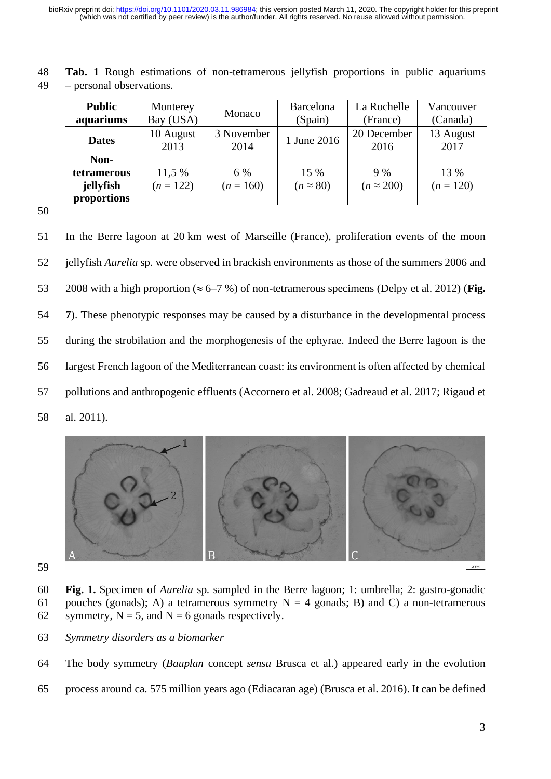| <b>Public</b><br>aquariums                             | Monterey<br>Bay (USA) | Monaco             | Barcelona<br>(Spain)     | La Rochelle<br>(France) | Vancouver<br>(Canada) |
|--------------------------------------------------------|-----------------------|--------------------|--------------------------|-------------------------|-----------------------|
| <b>Dates</b>                                           | 10 August<br>2013     | 3 November<br>2014 | 1 June 2016              | 20 December<br>2016     | 13 August<br>2017     |
| Non-<br><b>tetramerous</b><br>jellyfish<br>proportions | 11,5 %<br>$(n = 122)$ | 6 %<br>$(n = 160)$ | 15 %<br>$(n \approx 80)$ | 9%<br>$(n \approx 200)$ | 13 %<br>$(n = 120)$   |

48 **Tab. 1** Rough estimations of non-tetramerous jellyfish proportions in public aquariums 49 – personal observations.

50

51 In the Berre lagoon at 20 km west of Marseille (France), proliferation events of the moon 52 jellyfish *Aurelia* sp. were observed in brackish environments as those of the summers 2006 and 53 2008 with a high proportion ( $\approx 6-7$ %) of non-tetramerous specimens (Delpy et al. 2012) (**[Fig.](#page-13-0)** 54 **[7](#page-13-0)**). These phenotypic responses may be caused by a disturbance in the developmental process 55 during the strobilation and the morphogenesis of the ephyrae. Indeed the Berre lagoon is the 56 largest French lagoon of the Mediterranean coast: its environment is often affected by chemical 57 pollutions and anthropogenic effluents (Accornero et al. 2008; Gadreaud et al. 2017; Rigaud et 58 al. 2011).



59

- <span id="page-2-0"></span>60 **Fig. 1.** Specimen of *Aurelia* sp. sampled in the Berre lagoon; 1: umbrella; 2: gastro-gonadic 61 pouches (gonads); A) a tetramerous symmetry  $N = 4$  gonads; B) and C) a non-tetramerous 62 symmetry,  $N = 5$ , and  $N = 6$  gonads respectively.
- 63 *Symmetry disorders as a biomarker*
- 64 The body symmetry (*Bauplan* concept *sensu* Brusca et al.) appeared early in the evolution
- 65 process around ca. 575 million years ago (Ediacaran age) (Brusca et al. 2016). It can be defined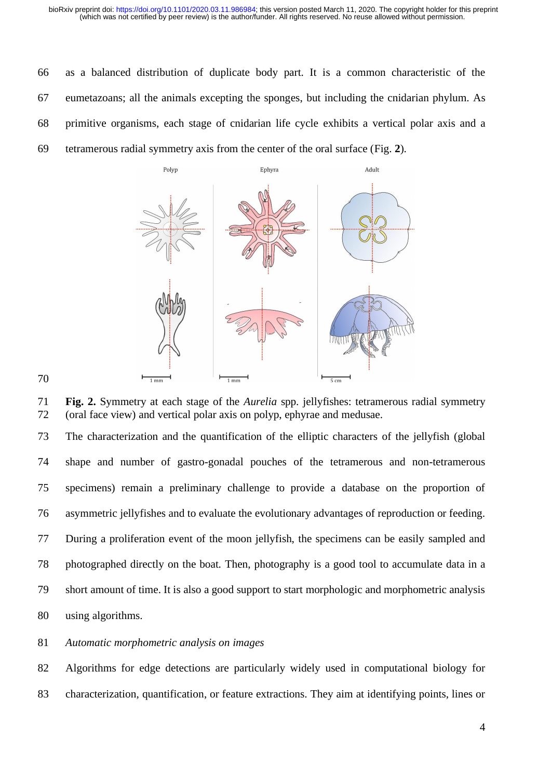as a balanced distribution of duplicate body part. It is a common characteristic of the eumetazoans; all the animals excepting the sponges, but including the cnidarian phylum. As primitive organisms, each stage of cnidarian life cycle exhibits a vertical polar axis and a tetramerous radial symmetry axis from the center of the oral surface [\(Fig.](#page-3-0) **2**).



<span id="page-3-0"></span> **Fig. 2.** Symmetry at each stage of the *Aurelia* spp. jellyfishes: tetramerous radial symmetry (oral face view) and vertical polar axis on polyp, ephyrae and medusae.

 The characterization and the quantification of the elliptic characters of the jellyfish (global shape and number of gastro-gonadal pouches of the tetramerous and non-tetramerous specimens) remain a preliminary challenge to provide a database on the proportion of asymmetric jellyfishes and to evaluate the evolutionary advantages of reproduction or feeding. During a proliferation event of the moon jellyfish, the specimens can be easily sampled and photographed directly on the boat. Then, photography is a good tool to accumulate data in a short amount of time. It is also a good support to start morphologic and morphometric analysis using algorithms.

## *Automatic morphometric analysis on images*

 Algorithms for edge detections are particularly widely used in computational biology for characterization, quantification, or feature extractions. They aim at identifying points, lines or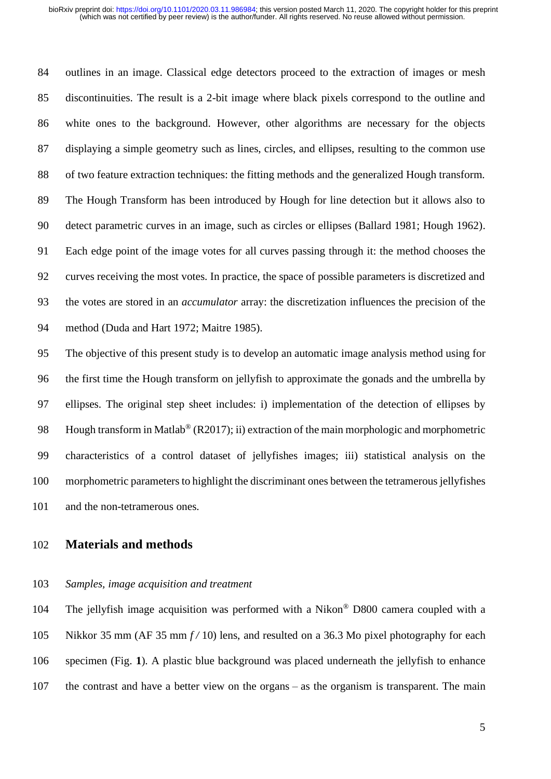outlines in an image. Classical edge detectors proceed to the extraction of images or mesh discontinuities. The result is a 2-bit image where black pixels correspond to the outline and white ones to the background. However, other algorithms are necessary for the objects displaying a simple geometry such as lines, circles, and ellipses, resulting to the common use of two feature extraction techniques: the fitting methods and the generalized Hough transform. The Hough Transform has been introduced by Hough for line detection but it allows also to detect parametric curves in an image, such as circles or ellipses (Ballard 1981; Hough 1962). Each edge point of the image votes for all curves passing through it: the method chooses the curves receiving the most votes. In practice, the space of possible parameters is discretized and the votes are stored in an *accumulator* array: the discretization influences the precision of the method (Duda and Hart 1972; Maitre 1985).

 The objective of this present study is to develop an automatic image analysis method using for the first time the Hough transform on jellyfish to approximate the gonads and the umbrella by ellipses. The original step sheet includes: i) implementation of the detection of ellipses by 98 Hough transform in Matlab<sup>®</sup> (R2017); ii) extraction of the main morphologic and morphometric characteristics of a control dataset of jellyfishes images; iii) statistical analysis on the morphometric parametersto highlight the discriminant ones between the tetramerous jellyfishes and the non-tetramerous ones.

## **Materials and methods**

*Samples, image acquisition and treatment*

104 The jellyfish image acquisition was performed with a Nikon® D800 camera coupled with a Nikkor 35 mm (AF 35 mm *f /* 10) lens, and resulted on a 36.3 Mo pixel photography for each specimen [\(Fig.](#page-2-0) **1**). A plastic blue background was placed underneath the jellyfish to enhance the contrast and have a better view on the organs – as the organism is transparent. The main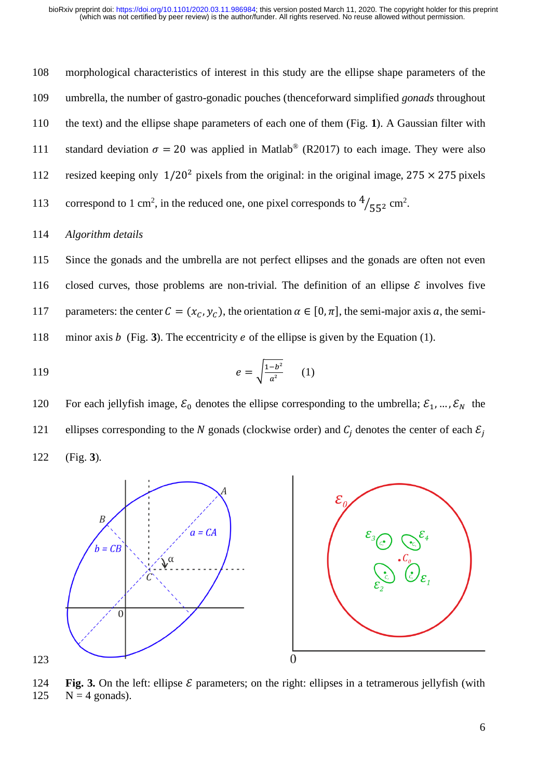108 morphological characteristics of interest in this study are the ellipse shape parameters of the 109 umbrella, the number of gastro-gonadic pouches (thenceforward simplified *gonads* throughout 110 the text) and the ellipse shape parameters of each one of them [\(Fig.](#page-2-0) **1**). A Gaussian filter with 111 standard deviation  $\sigma = 20$  was applied in Matlab<sup>®</sup> (R2017) to each image. They were also 112 resized keeping only  $1/20^2$  pixels from the original: in the original image, 275  $\times$  275 pixels 113 correspond to 1 cm<sup>2</sup>, in the reduced one, one pixel corresponds to  $\frac{4}{55^2}$  cm<sup>2</sup>.

114 *Algorithm details*

115 Since the gonads and the umbrella are not perfect ellipses and the gonads are often not even 116 closed curves, those problems are non-trivial. The definition of an ellipse  $\mathcal E$  involves five 117 parameters: the center  $C = (x_C, y_C)$ , the orientation  $\alpha \in [0, \pi]$ , the semi-major axis a, the semi-118 minor axis  $b$  [\(Fig.](#page-5-0) 3). The eccentricity  $e$  of the ellipse is given by the Equation (1).

119 
$$
e = \sqrt{\frac{1-b^2}{a^2}} \qquad (1)
$$

120 For each jellyfish image,  $\mathcal{E}_0$  denotes the ellipse corresponding to the umbrella;  $\mathcal{E}_1$ , ...,  $\mathcal{E}_N$  the 121 ellipses corresponding to the N gonads (clockwise order) and  $C_i$  denotes the center of each  $\mathcal{E}_i$ 122 [\(Fig.](#page-5-0) **3**).



<span id="page-5-0"></span>124 **Fig.** 3. On the left: ellipse  $\mathcal{E}$  parameters; on the right: ellipses in a tetramerous jellyfish (with 125  $N = 4$  gonads).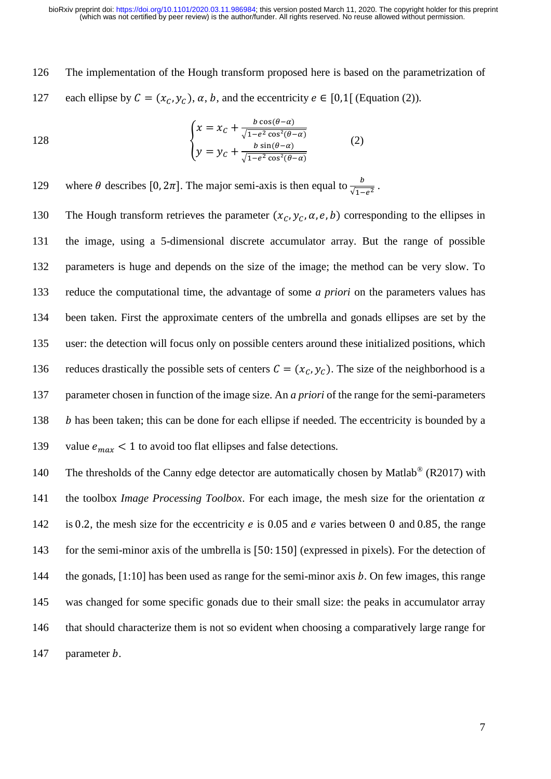126 The implementation of the Hough transform proposed here is based on the parametrization of 127 each ellipse by  $C = (x_c, y_c)$ ,  $\alpha$ ,  $b$ , and the eccentricity  $e \in [0,1]$  (Equation (2)).

128  

$$
\begin{cases} x = x_C + \frac{b \cos(\theta - \alpha)}{\sqrt{1 - e^2 \cos^2(\theta - \alpha)}}\\ y = y_C + \frac{b \sin(\theta - \alpha)}{\sqrt{1 - e^2 \cos^2(\theta - \alpha)}} \end{cases}
$$
(2)

129 where  $\theta$  describes [0, 2 $\pi$ ]. The major semi-axis is then equal to  $\frac{b}{\sqrt{1-e^2}}$ .

130 The Hough transform retrieves the parameter  $(x_c, y_c, \alpha, e, b)$  corresponding to the ellipses in the image, using a 5-dimensional discrete accumulator array. But the range of possible parameters is huge and depends on the size of the image; the method can be very slow. To reduce the computational time, the advantage of some *a priori* on the parameters values has been taken. First the approximate centers of the umbrella and gonads ellipses are set by the user: the detection will focus only on possible centers around these initialized positions, which 136 reduces drastically the possible sets of centers  $C = (x_C, y_C)$ . The size of the neighborhood is a parameter chosen in function of the image size. An *a priori* of the range for the semi-parameters *h* has been taken; this can be done for each ellipse if needed. The eccentricity is bounded by a 139 value  $e_{max}$  < 1 to avoid too flat ellipses and false detections.

140 The thresholds of the Canny edge detector are automatically chosen by Matlab® (R2017) with 141 the toolbox *Image Processing Toolbox*. For each image, the mesh size for the orientation  $\alpha$ 142 is 0.2, the mesh size for the eccentricity  $e$  is 0.05 and  $e$  varies between 0 and 0.85, the range 143 for the semi-minor axis of the umbrella is [50: 150] (expressed in pixels). For the detection of 144 the gonads,  $[1:10]$  has been used as range for the semi-minor axis b. On few images, this range 145 was changed for some specific gonads due to their small size: the peaks in accumulator array 146 that should characterize them is not so evident when choosing a comparatively large range for 147 parameter *b*.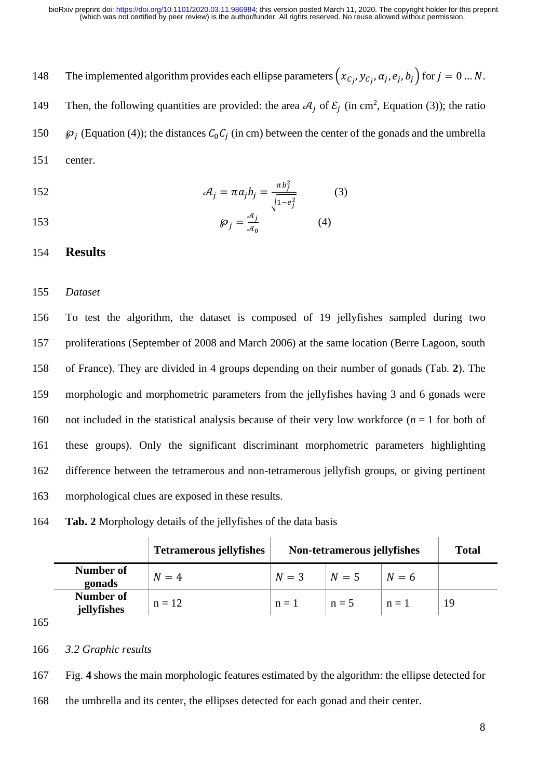148 The implemented algorithm provides each ellipse parameters  $(x_{C_j}, y_{C_j}, a_j, e_j, b_j)$  for  $j = 0 ... N$ . 149 Then, the following quantities are provided: the area  $A_j$  of  $\mathcal{E}_j$  (in cm<sup>2</sup>, Equation (3)); the ratio 150  $\wp_j$  (Equation (4)); the distances  $C_0C_j$  (in cm) between the center of the gonads and the umbrella 151 center.

152 
$$
\mathcal{A}_j = \pi a_j b_j = \frac{\pi b_j^2}{\sqrt{1 - e_j^2}}
$$
 (3)

$$
\wp_j = \frac{\mathcal{A}_j}{\mathcal{A}_0} \tag{4}
$$

## 154 **Results**

155 *Dataset*

 To test the algorithm, the dataset is composed of 19 jellyfishes sampled during two proliferations (September of 2008 and March 2006) at the same location (Berre Lagoon, south of France). They are divided in 4 groups depending on their number of gonads [\(Tab.](#page-7-0) **2**). The morphologic and morphometric parameters from the jellyfishes having 3 and 6 gonads were 160 not included in the statistical analysis because of their very low workforce  $(n = 1$  for both of these groups). Only the significant discriminant morphometric parameters highlighting difference between the tetramerous and non-tetramerous jellyfish groups, or giving pertinent morphological clues are exposed in these results.

<span id="page-7-0"></span>

| 164 | <b>Tab. 2</b> Morphology details of the jellyfishes of the data basis |  |  |  |  |
|-----|-----------------------------------------------------------------------|--|--|--|--|
|-----|-----------------------------------------------------------------------|--|--|--|--|

| <b>Tetramerous jellyfishes</b> | Non-tetramerous jellyfishes |  | <b>Total</b>     |             |
|--------------------------------|-----------------------------|--|------------------|-------------|
| $N=4$                          | $N=3$                       |  | $N=6$            |             |
| $n = 12$                       | $n=1$                       |  |                  | 19          |
|                                |                             |  | $N=5$<br>$n = 5$ | $\vert n=1$ |

<sup>165</sup>

166 *3.2 Graphic results*

167 [Fig.](#page-8-0) **4** shows the main morphologic features estimated by the algorithm: the ellipse detected for

168 the umbrella and its center, the ellipses detected for each gonad and their center.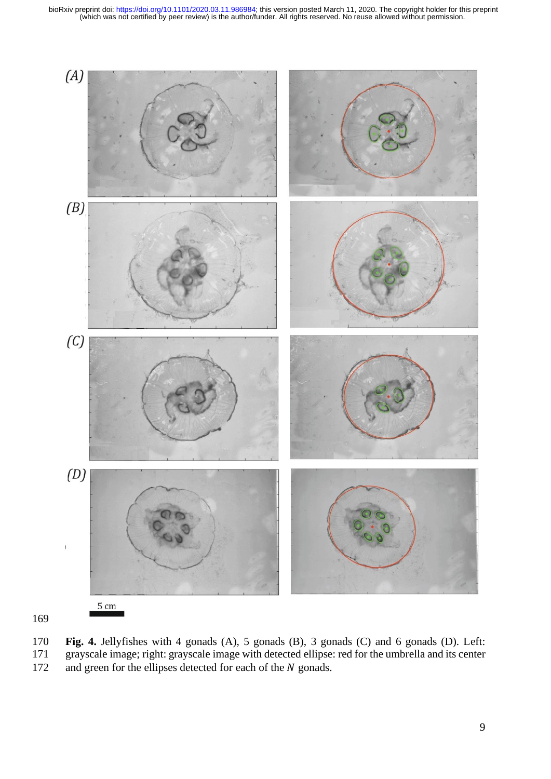

<span id="page-8-0"></span>170 **Fig. 4.** Jellyfishes with 4 gonads (A), 5 gonads (B), 3 gonads (C) and 6 gonads (D). Left:<br>171 grayscale image; right: grayscale image with detected ellipse: red for the umbrella and its center 171 grayscale image; right: grayscale image with detected ellipse: red for the umbrella and its center 172 and green for the ellipses detected for each of the N gonads.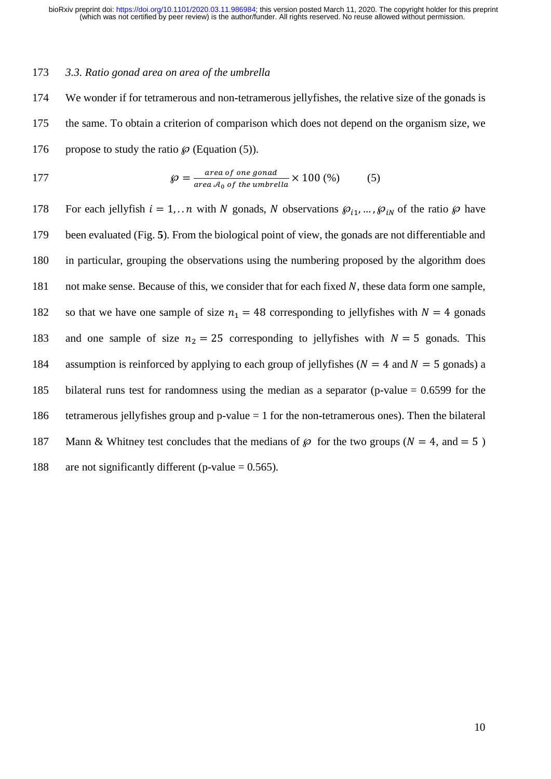#### 173 *3.3. Ratio gonad area on area of the umbrella*

174 We wonder if for tetramerous and non-tetramerous jellyfishes, the relative size of the gonads is 175 the same. To obtain a criterion of comparison which does not depend on the organism size, we 176 propose to study the ratio  $\wp$  (Equation (5)).

177 
$$
\wp = \frac{\text{area of one gonad}}{\text{area } A_0 \text{ of the umbrella}} \times 100 \, (\%) \tag{5}
$$

178 For each jellyfish  $i = 1, ...n$  with N gonads, N observations  $\mathcal{P}_{i_1}, ..., \mathcal{P}_{i_N}$  of the ratio  $\mathcal{P}_{i_1}$  have 179 been evaluated [\(Fig.](#page-10-0) **5**). From the biological point of view, the gonads are not differentiable and 180 in particular, grouping the observations using the numbering proposed by the algorithm does 181 not make sense. Because of this, we consider that for each fixed  $N$ , these data form one sample, 182 so that we have one sample of size  $n_1 = 48$  corresponding to jellyfishes with  $N = 4$  gonads 183 and one sample of size  $n_2 = 25$  corresponding to jellyfishes with  $N = 5$  gonads. This 184 assumption is reinforced by applying to each group of jellyfishes ( $N = 4$  and  $N = 5$  gonads) a 185 bilateral runs test for randomness using the median as a separator (p-value = 0.6599 for the 186 tetramerous jellyfishes group and p-value = 1 for the non-tetramerous ones). Then the bilateral 187 Mann & Whitney test concludes that the medians of  $\wp$  for the two groups ( $N = 4$ , and  $= 5$ ) 188 are not significantly different (p-value  $= 0.565$ ).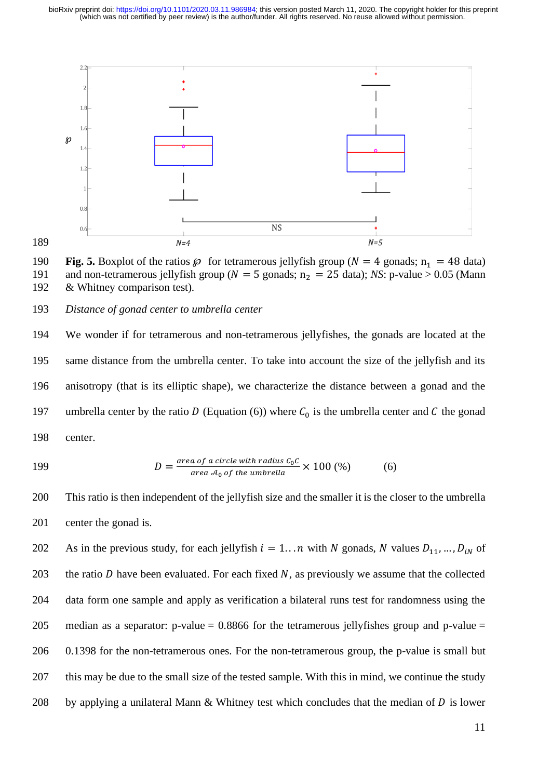(which was not certified by peer review) is the author/funder. All rights reserved. No reuse allowed without permission. bioRxiv preprint doi: [https://doi.org/10.1101/2020.03.11.986984;](https://doi.org/10.1101/2020.03.11.986984) this version posted March 11, 2020. The copyright holder for this preprint



189

<span id="page-10-0"></span>190 **Fig. 5.** Boxplot of the ratios  $\wp$  for tetramerous jellyfish group ( $N = 4$  gonads;  $n_1 = 48$  data) and non-tetramerous jellyfish group ( $N = 5$  gonads;  $n_2 = 25$  data); *NS*: p-value > 0.05 (Mann 191 and non-tetramerous jellyfish group ( $N = 5$  gonads;  $n_2 = 25$  data); *NS*: p-value > 0.05 (Mann 192 & Whitney comparison test).  $&$  Whitney comparison test).

#### 193 *Distance of gonad center to umbrella center*

194 We wonder if for tetramerous and non-tetramerous jellyfishes, the gonads are located at the 195 same distance from the umbrella center. To take into account the size of the jellyfish and its 196 anisotropy (that is its elliptic shape), we characterize the distance between a gonad and the 197 umbrella center by the ratio D (Equation (6)) where  $C_0$  is the umbrella center and C the gonad 198 center.

$$
\overline{a}
$$

199 
$$
D = \frac{\text{area of a circle with radius } C_0 C}{\text{area } A_0 \text{ of the umbrella}} \times 100\,(%) \tag{6}
$$

200 This ratio is then independent of the jellyfish size and the smaller it is the closer to the umbrella 201 center the gonad is.

202 As in the previous study, for each jellyfish  $i = 1...n$  with N gonads, N values  $D_{11},..., D_{iN}$  of 203 the ratio  $D$  have been evaluated. For each fixed  $N$ , as previously we assume that the collected 204 data form one sample and apply as verification a bilateral runs test for randomness using the 205 median as a separator: p-value  $= 0.8866$  for the tetramerous jelly fishes group and p-value  $=$ 206 0.1398 for the non-tetramerous ones. For the non-tetramerous group, the p-value is small but 207 this may be due to the small size of the tested sample. With this in mind, we continue the study 208 by applying a unilateral Mann & Whitney test which concludes that the median of  $D$  is lower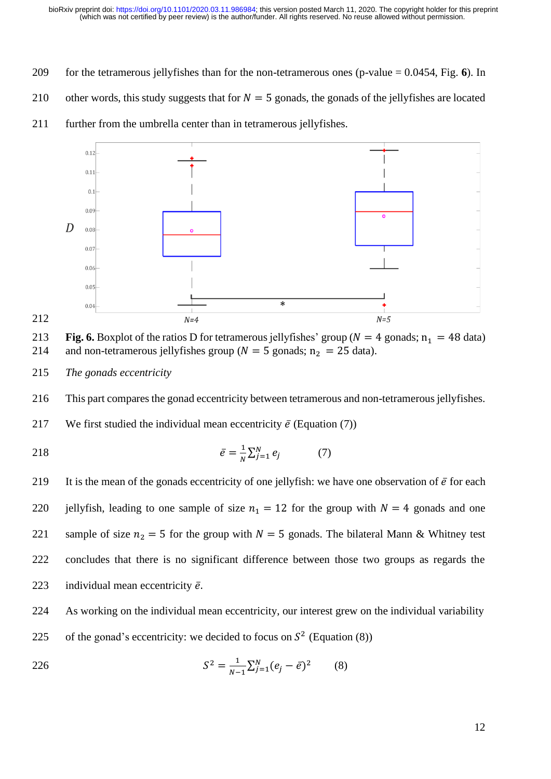- 209 for the tetramerous jellyfishes than for the non-tetramerous ones (p-value = 0.0454, [Fig.](#page-11-0) **6**). In
- 210 other words, this study suggests that for  $N = 5$  gonads, the gonads of the jellyfishes are located



211 further from the umbrella center than in tetramerous jellyfishes.



<span id="page-11-0"></span>

215 *The gonads eccentricity*

216 This part compares the gonad eccentricity between tetramerous and non-tetramerous jellyfishes.

217 We first studied the individual mean eccentricity  $\bar{e}$  (Equation (7))

$$
\bar{e} = \frac{1}{N} \sum_{j=1}^{N} e_j \tag{7}
$$

219 It is the mean of the gonads eccentricity of one jellyfish: we have one observation of  $\bar{e}$  for each 220 jellyfish, leading to one sample of size  $n_1 = 12$  for the group with  $N = 4$  gonads and one 221 sample of size  $n_2 = 5$  for the group with  $N = 5$  gonads. The bilateral Mann & Whitney test 222 concludes that there is no significant difference between those two groups as regards the 223 individual mean eccentricity  $\bar{e}$ .

224 As working on the individual mean eccentricity, our interest grew on the individual variability 225 of the gonad's eccentricity: we decided to focus on  $S^2$  (Equation (8))

226 
$$
S^2 = \frac{1}{N-1} \sum_{j=1}^{N} (e_j - \bar{e})^2
$$
 (8)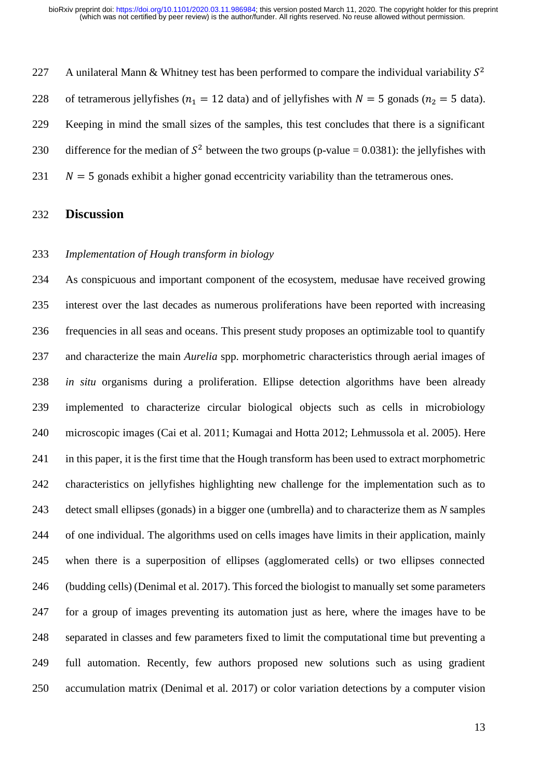227 A unilateral Mann & Whitney test has been performed to compare the individual variability  $S^2$ 228 of tetramerous jellyfishes ( $n_1 = 12$  data) and of jellyfishes with  $N = 5$  gonads ( $n_2 = 5$  data). Keeping in mind the small sizes of the samples, this test concludes that there is a significant 230 difference for the median of  $S^2$  between the two groups (p-value = 0.0381): the jellyfishes with  $N = 5$  gonads exhibit a higher gonad eccentricity variability than the tetramerous ones.

## **Discussion**

#### *Implementation of Hough transform in biology*

 As conspicuous and important component of the ecosystem, medusae have received growing interest over the last decades as numerous proliferations have been reported with increasing frequencies in all seas and oceans. This present study proposes an optimizable tool to quantify and characterize the main *Aurelia* spp. morphometric characteristics through aerial images of *in situ* organisms during a proliferation. Ellipse detection algorithms have been already implemented to characterize circular biological objects such as cells in microbiology microscopic images (Cai et al. 2011; Kumagai and Hotta 2012; Lehmussola et al. 2005). Here in this paper, it is the first time that the Hough transform has been used to extract morphometric characteristics on jellyfishes highlighting new challenge for the implementation such as to detect small ellipses (gonads) in a bigger one (umbrella) and to characterize them as *N* samples of one individual. The algorithms used on cells images have limits in their application, mainly when there is a superposition of ellipses (agglomerated cells) or two ellipses connected (budding cells) (Denimal et al. 2017). This forced the biologist to manually set some parameters for a group of images preventing its automation just as here, where the images have to be separated in classes and few parameters fixed to limit the computational time but preventing a full automation. Recently, few authors proposed new solutions such as using gradient accumulation matrix (Denimal et al. 2017) or color variation detections by a computer vision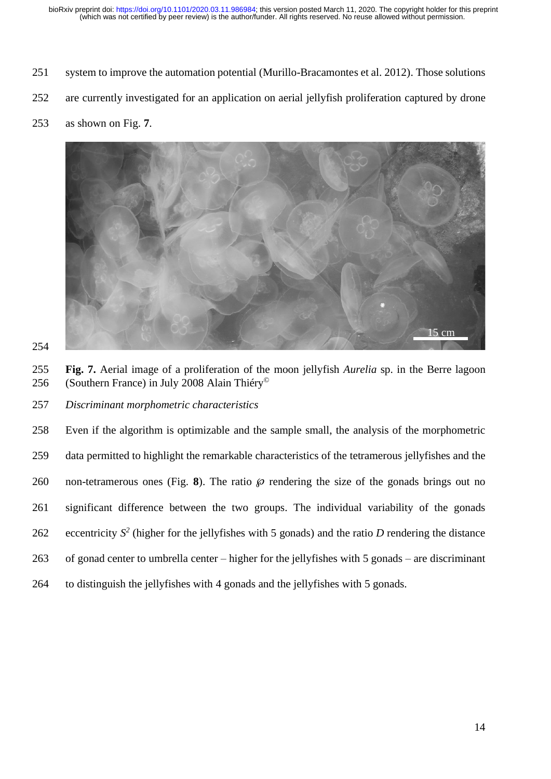- system to improve the automation potential (Murillo-Bracamontes et al. 2012). Those solutions
- are currently investigated for an application on aerial jellyfish proliferation captured by drone
- as shown on [Fig.](#page-13-0) **7**.



<span id="page-13-0"></span> **Fig. 7.** Aerial image of a proliferation of the moon jellyfish *Aurelia* sp. in the Berre lagoon (Southern France) in July 2008 Alain Thiéry© 

*Discriminant morphometric characteristics*

 Even if the algorithm is optimizable and the sample small, the analysis of the morphometric data permitted to highlight the remarkable characteristics of the tetramerous jellyfishes and the 260 non-tetramerous ones [\(Fig.](#page-14-0) 8). The ratio  $\wp$  rendering the size of the gonads brings out no significant difference between the two groups. The individual variability of the gonads 262 eccentricity  $S^2$  (higher for the jellyfishes with 5 gonads) and the ratio *D* rendering the distance of gonad center to umbrella center – higher for the jellyfishes with 5 gonads – are discriminant to distinguish the jellyfishes with 4 gonads and the jellyfishes with 5 gonads.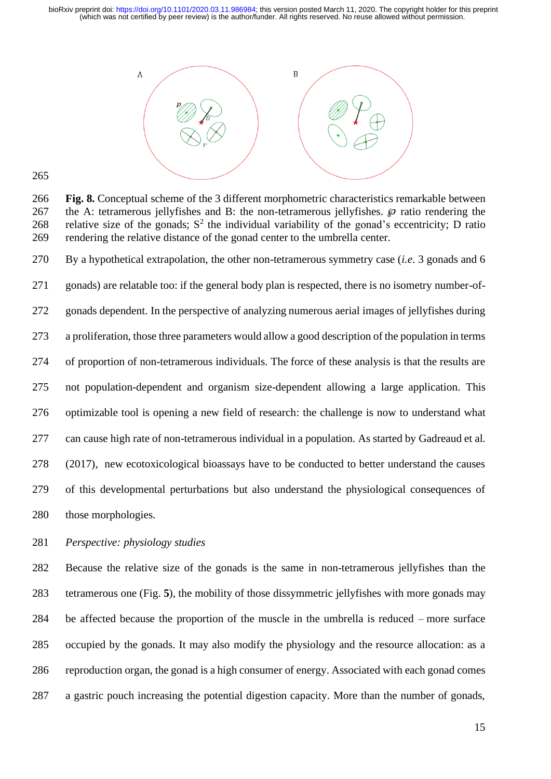

<span id="page-14-0"></span> **Fig. 8.** Conceptual scheme of the 3 different morphometric characteristics remarkable between 267 the A: tetramerous jellyfishes and B: the non-tetramerous jellyfishes.  $\wp$  ratio rendering the 268 relative size of the gonads;  $S^2$  the individual variability of the gonad's eccentricity; D ratio rendering the relative distance of the gonad center to the umbrella center.

 By a hypothetical extrapolation, the other non-tetramerous symmetry case (*i.e*. 3 gonads and 6 gonads) are relatable too: if the general body plan is respected, there is no isometry number-of- gonads dependent. In the perspective of analyzing numerous aerial images of jellyfishes during a proliferation, those three parameters would allow a good description of the population in terms of proportion of non-tetramerous individuals. The force of these analysis is that the results are not population-dependent and organism size-dependent allowing a large application. This optimizable tool is opening a new field of research: the challenge is now to understand what can cause high rate of non-tetramerous individual in a population. As started by Gadreaud et al. (2017), new ecotoxicological bioassays have to be conducted to better understand the causes of this developmental perturbations but also understand the physiological consequences of those morphologies.

*Perspective: physiology studies*

 Because the relative size of the gonads is the same in non-tetramerous jellyfishes than the tetramerous one [\(Fig.](#page-10-0) **5**), the mobility of those dissymmetric jellyfishes with more gonads may be affected because the proportion of the muscle in the umbrella is reduced – more surface occupied by the gonads. It may also modify the physiology and the resource allocation: as a reproduction organ, the gonad is a high consumer of energy. Associated with each gonad comes a gastric pouch increasing the potential digestion capacity. More than the number of gonads,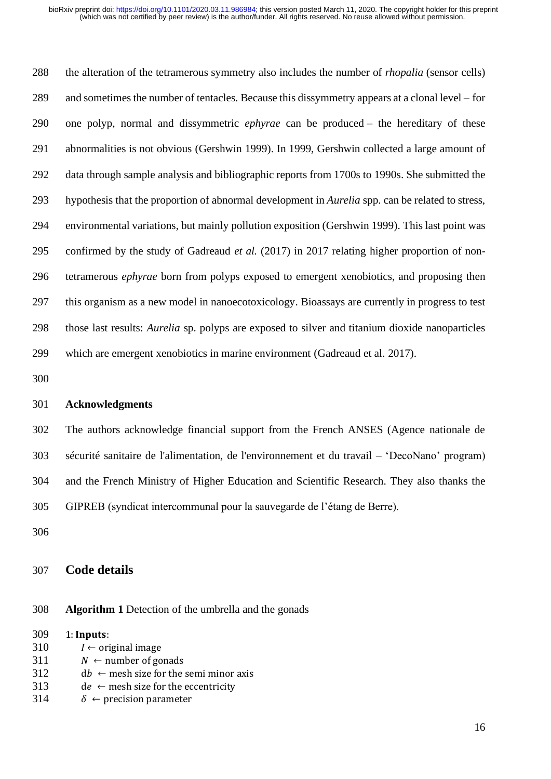the alteration of the tetramerous symmetry also includes the number of *rhopalia* (sensor cells) and sometimes the number of tentacles. Because this dissymmetry appears at a clonal level – for one polyp, normal and dissymmetric *ephyrae* can be produced – the hereditary of these abnormalities is not obvious (Gershwin 1999). In 1999, Gershwin collected a large amount of data through sample analysis and bibliographic reports from 1700s to 1990s. She submitted the hypothesis that the proportion of abnormal development in *Aurelia* spp. can be related to stress, environmental variations, but mainly pollution exposition (Gershwin 1999). This last point was confirmed by the study of Gadreaud *et al.* (2017) in 2017 relating higher proportion of non- tetramerous *ephyrae* born from polyps exposed to emergent xenobiotics, and proposing then this organism as a new model in nanoecotoxicology. Bioassays are currently in progress to test those last results: *Aurelia* sp. polyps are exposed to silver and titanium dioxide nanoparticles which are emergent xenobiotics in marine environment (Gadreaud et al. 2017).

#### **Acknowledgments**

 The authors acknowledge financial support from the French ANSES (Agence nationale de sécurité sanitaire de l'alimentation, de l'environnement et du travail – 'DecoNano' program) and the French Ministry of Higher Education and Scientific Research. They also thanks the GIPREB (syndicat intercommunal pour la sauvegarde de l'étang de Berre).

## **Code details**

**Algorithm 1** Detection of the umbrella and the gonads

| 309 | $1:$ Inputs:                                      |
|-----|---------------------------------------------------|
| 310 | $I \leftarrow$ original image                     |
| 311 | $N \leftarrow$ number of gonads                   |
| 312 | $db \leftarrow$ mesh size for the semi minor axis |
| 313 | $de \leftarrow$ mesh size for the eccentricity    |
| 314 | $\delta \leftarrow$ precision parameter           |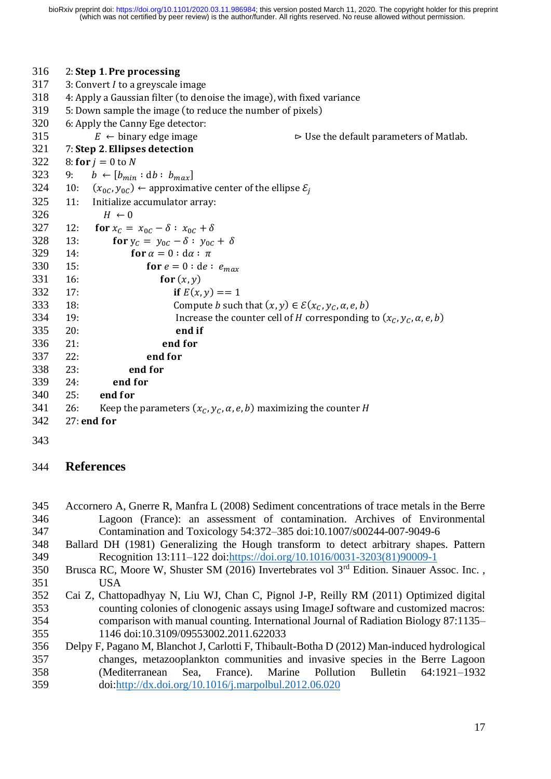| 316 |                                                                        | 2: Step 1. Pre processing                                                                  |  |  |  |
|-----|------------------------------------------------------------------------|--------------------------------------------------------------------------------------------|--|--|--|
| 317 | 3: Convert $I$ to a greyscale image                                    |                                                                                            |  |  |  |
| 318 | 4: Apply a Gaussian filter (to denoise the image), with fixed variance |                                                                                            |  |  |  |
| 319 | 5: Down sample the image (to reduce the number of pixels)              |                                                                                            |  |  |  |
| 320 |                                                                        | 6: Apply the Canny Ege detector:                                                           |  |  |  |
| 315 |                                                                        | $E \leftarrow$ binary edge image<br>$\triangleright$ Use the default parameters of Matlab. |  |  |  |
| 321 |                                                                        | 7: Step 2. Ellipses detection                                                              |  |  |  |
| 322 | 8: for $j = 0$ to N                                                    |                                                                                            |  |  |  |
| 323 |                                                                        | 9: $b \leftarrow [b_{min} : db : b_{max}]$                                                 |  |  |  |
| 324 | 10:                                                                    | $(x_{0C}, y_{0C}) \leftarrow$ approximative center of the ellipse $\varepsilon_i$          |  |  |  |
| 325 | 11:                                                                    | Initialize accumulator array:                                                              |  |  |  |
| 326 |                                                                        | $H \leftarrow 0$                                                                           |  |  |  |
| 327 | 12:                                                                    | for $x_c = x_{0c} - \delta : x_{0c} + \delta$                                              |  |  |  |
| 328 | 13:                                                                    | for $y_c = y_{0c} - \delta : y_{0c} + \delta$                                              |  |  |  |
| 329 | 14:                                                                    | for $\alpha = 0$ : $d\alpha$ : $\pi$                                                       |  |  |  |
| 330 | 15:                                                                    | for $e = 0$ : de : $e_{max}$                                                               |  |  |  |
| 331 | 16:                                                                    | for $(x, y)$                                                                               |  |  |  |
| 332 | 17:                                                                    | if $E(x, y) == 1$                                                                          |  |  |  |
| 333 | 18:                                                                    | Compute <i>b</i> such that $(x, y) \in \mathcal{E}(x_C, y_C, \alpha, e, b)$                |  |  |  |
| 334 | 19:                                                                    | Increase the counter cell of H corresponding to $(x_c, y_c, \alpha, e, b)$                 |  |  |  |
| 335 | 20:                                                                    | end if                                                                                     |  |  |  |
| 336 | 21:                                                                    | end for                                                                                    |  |  |  |
| 337 | 22:                                                                    | end for                                                                                    |  |  |  |
| 338 | 23:                                                                    | end for                                                                                    |  |  |  |
| 339 | 24:                                                                    | end for                                                                                    |  |  |  |
| 340 | 25:                                                                    | end for                                                                                    |  |  |  |
| 341 | 26:                                                                    | Keep the parameters $(x_c, y_c, \alpha, e, b)$ maximizing the counter H                    |  |  |  |
| 342 |                                                                        | 27: end for                                                                                |  |  |  |
|     |                                                                        |                                                                                            |  |  |  |

## **References**

- Accornero A, Gnerre R, Manfra L (2008) Sediment concentrations of trace metals in the Berre Lagoon (France): an assessment of contamination. Archives of Environmental Contamination and Toxicology 54:372–385 doi:10.1007/s00244-007-9049-6
- Ballard DH (1981) Generalizing the Hough transform to detect arbitrary shapes. Pattern Recognition 13:111–122 doi[:https://doi.org/10.1016/0031-3203\(81\)90009-1](https://doi.org/10.1016/0031-3203(81)90009-1)
- 350 Brusca RC, Moore W, Shuster SM (2016) Invertebrates vol  $3<sup>rd</sup>$  Edition. Sinauer Assoc. Inc., USA
- Cai Z, Chattopadhyay N, Liu WJ, Chan C, Pignol J-P, Reilly RM (2011) Optimized digital counting colonies of clonogenic assays using ImageJ software and customized macros: comparison with manual counting. International Journal of Radiation Biology 87:1135– 1146 doi:10.3109/09553002.2011.622033
- Delpy F, Pagano M, Blanchot J, Carlotti F, Thibault-Botha D (2012) Man-induced hydrological changes, metazooplankton communities and invasive species in the Berre Lagoon (Mediterranean Sea, France). Marine Pollution Bulletin 64:1921–1932 doi[:http://dx.doi.org/10.1016/j.marpolbul.2012.06.020](http://dx.doi.org/10.1016/j.marpolbul.2012.06.020)